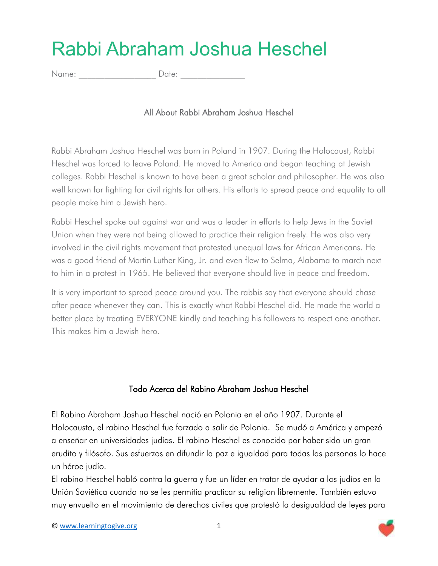## Rabbi Abraham Joshua Heschel

Name:  $\Box$  Date:

All About Rabbi Abraham Joshua Heschel

Rabbi Abraham Joshua Heschel was born in Poland in 1907. During the Holocaust, Rabbi Heschel was forced to leave Poland. He moved to America and began teaching at Jewish colleges. Rabbi Heschel is known to have been a great scholar and philosopher. He was also well known for fighting for civil rights for others. His efforts to spread peace and equality to all people make him a Jewish hero.

Rabbi Heschel spoke out against war and was a leader in efforts to help Jews in the Soviet Union when they were not being allowed to practice their religion freely. He was also very involved in the civil rights movement that protested unequal laws for African Americans. He was a good friend of Martin Luther King, Jr. and even flew to Selma, Alabama to march next to him in a protest in 1965. He believed that everyone should live in peace and freedom.

It is very important to spread peace around you. The rabbis say that everyone should chase after peace whenever they can. This is exactly what Rabbi Heschel did. He made the world a better place by treating EVERYONE kindly and teaching his followers to respect one another. This makes him a Jewish hero.

## Todo Acerca del Rabino Abraham Joshua Heschel

El Rabino Abraham Joshua Heschel nació en Polonia en el año 1907. Durante el Holocausto, el rabino Heschel fue forzado a salir de Polonia. Se mudó a América y empezó a enseñar en universidades judías. El rabino Heschel es conocido por haber sido un gran erudito y filósofo. Sus esfuerzos en difundir la paz e igualdad para todas las personas lo hace un héroe judío.

El rabino Heschel habló contra la guerra y fue un líder en tratar de ayudar a los judíos en la Unión Soviética cuando no se les permitía practicar su religion libremente. También estuvo muy envuelto en el movimiento de derechos civiles que protestó la desigualdad de leyes para